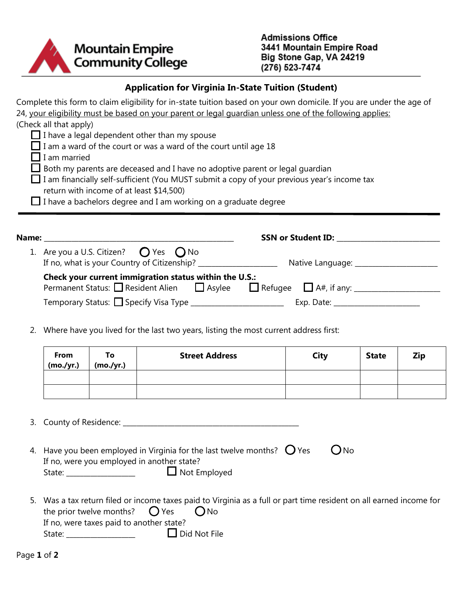

## **Application for Virginia In-State Tuition (Student)**

| Name:                                                                        | <b>SSN or Student ID:</b>                                                                                            |
|------------------------------------------------------------------------------|----------------------------------------------------------------------------------------------------------------------|
|                                                                              |                                                                                                                      |
| $\Box$ I have a bachelors degree and I am working on a graduate degree       |                                                                                                                      |
| return with income of at least \$14,500)                                     |                                                                                                                      |
|                                                                              | I am financially self-sufficient (You MUST submit a copy of your previous year's income tax                          |
| Both my parents are deceased and I have no adoptive parent or legal guardian |                                                                                                                      |
| $\Box$ I am married                                                          |                                                                                                                      |
| $\Box$ I am a ward of the court or was a ward of the court until age 18      |                                                                                                                      |
| $\Box$ I have a legal dependent other than my spouse                         |                                                                                                                      |
| (Check all that apply)                                                       |                                                                                                                      |
|                                                                              | 24, your eligibility must be based on your parent or legal quardian unless one of the following applies:             |
|                                                                              | Complete this form to claim eligibility for in-state tuition based on your own domicile. If you are under the age of |

| 1. Are you a U.S. Citizen? $\bigcirc$ Yes $\bigcirc$ No                                                                                    | Native Language: __________________                                                                            |  |
|--------------------------------------------------------------------------------------------------------------------------------------------|----------------------------------------------------------------------------------------------------------------|--|
| Check your current immigration status within the U.S.:<br>Permanent Status: Resident Alien $\Box$ Asylee $\Box$ Refugee $\Box$ A#, if any: |                                                                                                                |  |
|                                                                                                                                            | Exp. Date: the contract of the contract of the contract of the contract of the contract of the contract of the |  |

2. Where have you lived for the last two years, listing the most current address first:

| From<br>(mo./yr.) | To<br>(mo./yr.) | <b>Street Address</b> | <b>City</b> | <b>State</b> | <b>Zip</b> |
|-------------------|-----------------|-----------------------|-------------|--------------|------------|
|                   |                 |                       |             |              |            |
|                   |                 |                       |             |              |            |

3. County of Residence: \_\_\_\_\_\_\_\_\_\_\_\_\_\_\_\_\_\_\_\_\_\_\_\_\_\_\_\_\_\_\_\_\_\_\_\_\_\_\_\_\_\_\_\_\_\_\_\_\_\_\_

| 4. Have you been employed in Virginia for the last twelve months? $\bigcirc$ Yes |                     | $O$ No |
|----------------------------------------------------------------------------------|---------------------|--------|
| If no, were you employed in another state?                                       |                     |        |
| State:                                                                           | $\Box$ Not Employed |        |

5. Was a tax return filed or income taxes paid to Virginia as a full or part time resident on all earned income for the prior twelve months?  $\bigcirc$  Yes  $\bigcirc$  No If no, were taxes paid to another state? State: \_\_\_\_\_\_\_\_\_\_\_\_\_\_\_\_\_\_\_\_ Did Not File